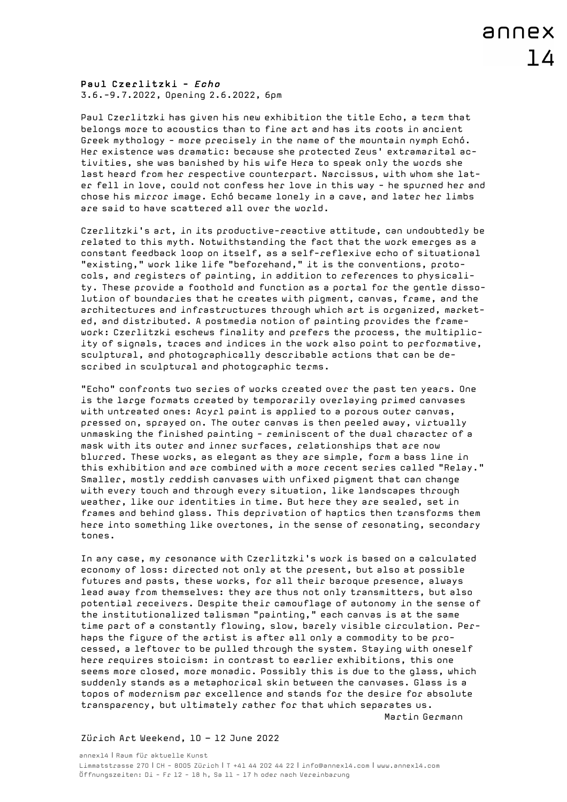Paul Czerlitzki - Echo 3.6.-9.7.2022, Opening 2.6.2022, 6pm

Paul Czerlitzki has given his new exhibition the title Echo, a term that belongs more to acoustics than to fine art and has its roots in ancient Greek mythology - more precisely in the name of the mountain nymph Echó. Her existence was dramatic: because she protected Zeus' extramarital activities, she was banished by his wife Hera to speak only the words she last heard from her respective counterpart. Narcissus, with whom she later fell in love, could not confess her love in this way - he spurned her and chose his mirror image. Echó became lonely in a cave, and later her limbs are said to have scattered all over the world.

Czerlitzki's art, in its productive-reactive attitude, can undoubtedly be related to this myth. Notwithstanding the fact that the work emerges as a constant feedback loop on itself, as a self-reflexive echo of situational "existing," work like life "beforehand," it is the conventions, protocols, and registers of painting, in addition to references to physicality. These provide a foothold and function as a portal for the gentle dissolution of boundaries that he creates with pigment, canvas, frame, and the architectures and infrastructures through which art is organized, marketed, and distributed. A postmedia notion of painting provides the framework: Czerlitzki eschews finality and prefers the process, the multiplicity of signals, traces and indices in the work also point to performative, sculptural, and photographically describable actions that can be described in sculptural and photographic terms.

"Echo" confronts two series of works created over the past ten years. One is the large formats created by temporarily overlaying primed canvases with untreated ones: Acyrl paint is applied to a porous outer canvas, pressed on, sprayed on. The outer canvas is then peeled away, virtually unmasking the finished painting - reminiscent of the dual character of a mask with its outer and inner surfaces, relationships that are now blurred. These works, as elegant as they are simple, form a bass line in this exhibition and are combined with a more recent series called "Relay." Smaller, mostly reddish canvases with unfixed pigment that can change with every touch and through every situation, like landscapes through weather, like our identities in time. But here they are sealed, set in frames and behind glass. This deprivation of haptics then transforms them here into something like overtones, in the sense of resonating, secondary tones.

In any case, my resonance with Czerlitzki's work is based on a calculated economy of loss: directed not only at the present, but also at possible futures and pasts, these works, for all their baroque presence, always lead away from themselves: they are thus not only transmitters, but also potential receivers. Despite their camouflage of autonomy in the sense of the institutionalized talisman "painting," each canvas is at the same time part of a constantly flowing, slow, barely visible circulation. Perhaps the figure of the artist is after all only a commodity to be processed, a leftover to be pulled through the system. Staying with oneself here requires stoicism: in contrast to earlier exhibitions, this one seems more closed, more monadic. Possibly this is due to the glass, which suddenly stands as a metaphorical skin between the canvases. Glass is a topos of modernism par excellence and stands for the desire for absolute transparency, but ultimately rather for that which separates us.

Martin Germann

Zürich Art Weekend, 10 – 12 June 2022